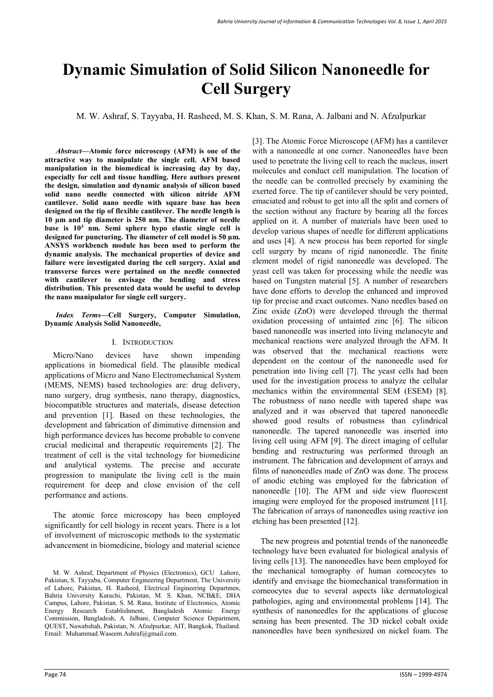# **Dynamic Simulation of Solid Silicon Nanoneedle for Cell Surgery**

M. W. Ashraf, S. Tayyaba, H. Rasheed, M. S. Khan, S. M. Rana, A. Jalbani and N. Afzulpurkar

*Abstract***—Atomic force microscopy (AFM) is one of the attractive way to manipulate the single cell. AFM based manipulation in the biomedical is increasing day by day, especially for cell and tissue handling. Here authors present the design, simulation and dynamic analysis of silicon based solid nano needle connected with silicon nitride AFM cantilever. Solid nano needle with square base has been designed on the tip of flexible cantilever. The needle length is 10 µm and tip diameter is 250 nm. The diameter of needle base is 10<sup>3</sup> nm. Semi sphere hypo elastic single cell is**  designed for puncturing. The diameter of cell model is 50  $\mu$ m. **ANSYS workbench module has been used to perform the dynamic analysis. The mechanical properties of device and failure were investigated during the cell surgery. Axial and transverse forces were pertained on the needle connected with cantilever to envisage the bending and stress distribution. This presented data would be useful to develop the nano manipulator for single cell surgery.** 

*Index Terms***—Cell Surgery, Computer Simulation, Dynamic Analysis Solid Nanoneedle,** 

# I. INTRODUCTION

Micro/Nano devices have shown impending applications in biomedical field. The plausible medical applications of Micro and Nano Electromechanical System (MEMS, NEMS) based technologies are: drug delivery, nano surgery, drug synthesis, nano therapy, diagnostics, biocompatible structures and materials, disease detection and prevention [1]. Based on these technologies, the development and fabrication of diminutive dimension and high performance devices has become probable to convene crucial medicinal and therapeutic requirements [2]. The treatment of cell is the vital technology for biomedicine and analytical systems. The precise and accurate progression to manipulate the living cell is the main requirement for deep and close envision of the cell performance and actions.

The atomic force microscopy has been employed significantly for cell biology in recent years. There is a lot of involvement of microscopic methods to the systematic advancement in biomedicine, biology and material science [3]. The [Atomic Force Microscope](http://en.wikipedia.org/wiki/Atomic_force_microscope) (AFM) has a [cantilever](http://en.wikipedia.org/wiki/Cantilever) with a nanoneedle at one corner. Nanoneedles have been used to penetrate the living cell to reach the nucleus, insert molecules and conduct cell manipulation. The location of the needle can be controlled precisely by examining the exerted force. The tip of cantilever should be very pointed, emaciated and robust to get into all the split and corners of the section without any fracture by bearing all the forces applied on it. A number of materials have been used to develop various shapes of needle for different applications and uses [4]. A new process has been reported for single cell surgery by means of rigid nanoneedle. The finite element model of rigid nanoneedle was developed. The yeast cell was taken for processing while the needle was based on Tungsten material [5]. A number of researchers have done efforts to develop the enhanced and improved tip for precise and exact outcomes. Nano needles based on Zinc oxide (ZnO) were developed through the thermal oxidation processing of untainted zinc [6]. The silicon based nanoneedle was inserted into living melanocyte and mechanical reactions were analyzed through the AFM. It was observed that the mechanical reactions were dependent on the contour of the nanoneedle used for penetration into living cell [7]. The yeast cells had been used for the investigation process to analyze the cellular mechanics within the environmental SEM (ESEM) [8]. The robustness of nano needle with tapered shape was analyzed and it was observed that tapered nanoneedle showed good results of robustness than cylindrical nanoneedle. The tapered nanoneedle was inserted into living cell using AFM [9]. The direct imaging of cellular bending and restructuring was performed through an instrument. The fabrication and development of arrays and films of nanoneedles made of ZnO was done. The process of anodic etching was employed for the fabrication of nanoneedle [10]. The AFM and side view fluorescent imaging were employed for the proposed instrument [11]. The fabrication of arrays of nanoneedles using reactive ion etching has been presented [12].

The new progress and potential trends of the nanoneedle technology have been evaluated for biological analysis of living cells [13]. The nanoneedles have been employed for the mechanical tomography of human corneocytes to identify and envisage the biomechanical transformation in corneocytes due to several aspects like dermatological pathologies, aging and environmental problems [14]. The synthesis of nanoneedles for the applications of glucose sensing has been presented. The 3D nickel cobalt oxide nanoneedles have been synthesized on nickel foam. The

M. W. Ashraf, Department of Physics (Electronics), GCU Lahore, Pakistan, S. Tayyaba, Computer Engineering Department, The University of Lahore, Pakistan, H. Rasheed, Electrical Engineering Departmen, Bahria University Karachi, Pakistan, M. S. Khan, NCB&E, DHA Campus, Lahore, Pakistan. S. M. Rana, Institute of Electronics, Atomic Energy Research Establishment, Bangladesh Atomic Energy Commission, Bangladesh, A. Jalbani, Computer Science Department, QUEST, Nawabshah, Pakistan, N. Afzulpurkar, AIT, Bangkok, Thailand. Email: Muhammad.Waseem.Ashraf@gmail.com.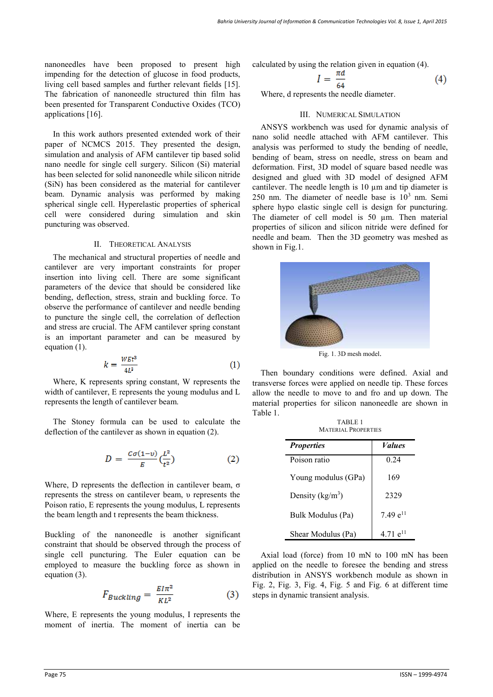nanoneedles have been proposed to present high impending for the detection of glucose in food products, living cell based samples and further relevant fields [15]. The fabrication of nanoneedle structured thin film has been presented for Transparent Conductive Oxides (TCO) applications [16].

In this work authors presented extended work of their paper of NCMCS 2015. They presented the design, simulation and analysis of AFM cantilever tip based solid nano needle for single cell surgery. Silicon (Si) material has been selected for solid nanoneedle while silicon nitride (SiN) has been considered as the material for cantilever beam. Dynamic analysis was performed by making spherical single cell. Hyperelastic properties of spherical cell were considered during simulation and skin puncturing was observed.

### II. THEORETICAL ANALYSIS

The mechanical and structural properties of needle and cantilever are very important constraints for proper insertion into living cell. There are some significant parameters of the device that should be considered like bending, deflection, stress, strain and buckling force. To observe the performance of cantilever and needle bending to puncture the single cell, the correlation of deflection and stress are crucial. The AFM cantilever spring constant is an important parameter and can be measured by equation (1).

$$
k = \frac{W E t^3}{4L^3} \tag{1}
$$

Where, K represents spring constant, W represents the width of cantilever, E represents the young modulus and L represents the length of cantilever beam.

The Stoney formula can be used to calculate the deflection of the cantilever as shown in equation (2).

$$
D = \frac{c\sigma(1-\nu)}{E} \left(\frac{L^2}{t^2}\right) \tag{2}
$$

Where, D represents the deflection in cantilever beam,  $\sigma$ represents the stress on cantilever beam, υ represents the Poison ratio, E represents the young modulus, L represents the beam length and t represents the beam thickness.

Buckling of the nanoneedle is another significant constraint that should be observed through the process of single cell puncturing. The Euler equation can be employed to measure the buckling force as shown in equation (3).

$$
F_{Buckling} = \frac{E I \pi^2}{K L^2} \tag{3}
$$

Where, E represents the young modulus, I represents the moment of inertia. The moment of inertia can be calculated by using the relation given in equation (4).

$$
I = \frac{na}{64} \tag{4}
$$

Where, d represents the needle diameter.

# III. NUMERICAL SIMULATION

ANSYS workbench was used for dynamic analysis of nano solid needle attached with AFM cantilever. This analysis was performed to study the bending of needle, bending of beam, stress on needle, stress on beam and deformation. First, 3D model of square based needle was designed and glued with 3D model of designed AFM cantilever. The needle length is 10  $\mu$ m and tip diameter is  $250$  nm. The diameter of needle base is  $10<sup>3</sup>$  nm. Semi sphere hypo elastic single cell is design for puncturing. The diameter of cell model is 50 um. Then material properties of silicon and silicon nitride were defined for needle and beam. Then the 3D geometry was meshed as shown in Fig.1.



Fig. 1. 3D mesh model.

Then boundary conditions were defined. Axial and transverse forces were applied on needle tip. These forces allow the needle to move to and fro and up down. The material properties for silicon nanoneedle are shown in Table 1.

TABLE 1 MATERIAL PROPERTIES

| <b>Properties</b>   | <i><b>Values</b></i> |
|---------------------|----------------------|
| Poison ratio        | 0.24                 |
| Young modulus (GPa) | 169                  |
| Density ( $kg/m3$ ) | 2329                 |
| Bulk Modulus (Pa)   | 7.49 $e^{11}$        |
| Shear Modulus (Pa)  | 4.71 $e^{11}$        |

Axial load (force) from 10 mN to 100 mN has been applied on the needle to foresee the bending and stress distribution in ANSYS workbench module as shown in Fig. 2, Fig. 3, Fig. 4, Fig. 5 and Fig. 6 at different time steps in dynamic transient analysis.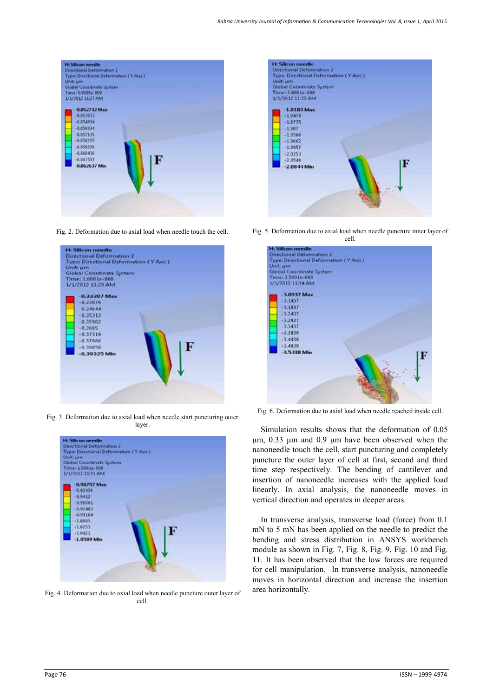

Fig. 2. Deformation due to axial load when needle touch the cell.



Fig. 3. Deformation due to axial load when needle start puncturing outer layer.



Fig. 4. Deformation due to axial load when needle puncture outer layer of cell.

| <b>H: Silicon needle</b><br>Directional Deformation 2: |  |
|--------------------------------------------------------|--|
| Type: Directional Deformation (Y Axis)                 |  |
| Unit: um                                               |  |
| <b>Global Coordinate System</b>                        |  |
| Time: 2.0001e-008                                      |  |
| I/1/2012 11:32 AM                                      |  |
|                                                        |  |
| $-1.8183$ Max                                          |  |
| $-1.8479$                                              |  |
| $-1.8775$                                              |  |
| $-1.907$                                               |  |
| $-1.9366$                                              |  |
| $-1.9662$                                              |  |
| $-1.9957$                                              |  |
|                                                        |  |
| $-2.0253$                                              |  |
| $-2.0548$                                              |  |
| $-2.0844$ Min                                          |  |
|                                                        |  |
|                                                        |  |
|                                                        |  |
|                                                        |  |
|                                                        |  |
|                                                        |  |
|                                                        |  |

Fig. 5. Deformation due to axial load when needle puncture inner layer of cell.

| <b>H: Silicon needle</b>                |  |   |
|-----------------------------------------|--|---|
| Directional Deformation 2               |  |   |
| Type: Directional Deformation (Y Axis ) |  |   |
| Unit: um                                |  |   |
| <b>Global Coordinate System</b>         |  |   |
| Time: 2.5001e-000                       |  |   |
| 1/1/2012 11:34 AM                       |  |   |
| $-3.0937$ Max                           |  |   |
| $-3.1437$                               |  |   |
| $-3.1937$                               |  |   |
| $-3.2437$                               |  |   |
| $-3.2937$                               |  |   |
| $-3.3437$                               |  |   |
| $-3,3938$                               |  |   |
| $-3.4438$                               |  |   |
| $-3.4938$                               |  |   |
| $-3.5438$ Min                           |  |   |
|                                         |  | R |
|                                         |  |   |
|                                         |  |   |
|                                         |  |   |
|                                         |  |   |
|                                         |  |   |
|                                         |  |   |
|                                         |  |   |
|                                         |  |   |

Fig. 6. Deformation due to axial load when needle reached inside cell.

Simulation results shows that the deformation of 0.05 μm, 0.33 μm and 0.9 μm have been observed when the nanoneedle touch the cell, start puncturing and completely puncture the outer layer of cell at first, second and third time step respectively. The bending of cantilever and insertion of nanoneedle increases with the applied load linearly. In axial analysis, the nanoneedle moves in vertical direction and operates in deeper areas.

In transverse analysis, transverse load (force) from 0.1 mN to 5 mN has been applied on the needle to predict the bending and stress distribution in ANSYS workbench module as shown in Fig. 7, Fig. 8, Fig. 9, Fig. 10 and Fig. 11. It has been observed that the low forces are required for cell manipulation. In transverse analysis, nanoneedle moves in horizontal direction and increase the insertion area horizontally.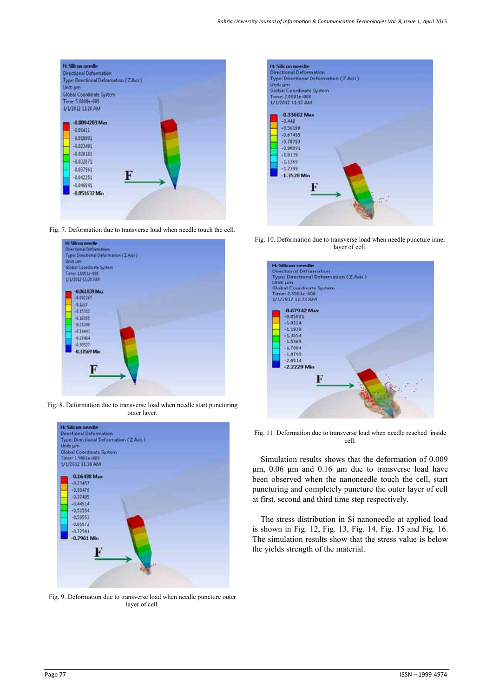| Directional Deformation<br>Type: Directional Deformation (Z Auis) |   |  |  |
|-------------------------------------------------------------------|---|--|--|
| Unit: um                                                          |   |  |  |
| Global Coordinate System                                          |   |  |  |
| Time: 5,0008+-009                                                 |   |  |  |
| L/L/2012 11:26 AM                                                 |   |  |  |
| $-0.0094203$ Max                                                  |   |  |  |
| $-0.01411$                                                        |   |  |  |
| $-0.018801$                                                       |   |  |  |
| $-0.023491$                                                       |   |  |  |
| $-0.028181$                                                       |   |  |  |
| $-0.032071$                                                       |   |  |  |
| $-0.037561$                                                       |   |  |  |
| $-0.042251$                                                       | н |  |  |
| $-0.046941$                                                       |   |  |  |
| $-0.051632$ Min                                                   |   |  |  |
|                                                                   |   |  |  |

Fig. 7. Deformation due to transverse load when needle touch the cell.

| <b>H: Silicon needle</b>               |  |
|----------------------------------------|--|
| Directional Deformation                |  |
| Type: Directional Deformation (Z Avis) |  |
| Unit: uns                              |  |
| Global Coordinate System               |  |
| Time: 1,00014-008                      |  |
| 1/1/2012 11:28 AM                      |  |
|                                        |  |
| $-0.061839$ Max                        |  |
| $-0.092267$                            |  |
| $-0.1227$                              |  |
| $-0.15312$                             |  |
| $-0.18355$                             |  |
| $-0.21398$                             |  |
| $-0.24441$                             |  |
| $-0.27484$                             |  |
| $-0.30527$                             |  |
| -0.33569 Min                           |  |
|                                        |  |
|                                        |  |
| F                                      |  |
|                                        |  |
|                                        |  |
|                                        |  |

Fig. 8. Deformation due to transverse load when needle start puncturing outer layer.



Fig. 9. Deformation due to transverse load when needle puncture outer layer of cell.

| H: Silicon needle<br>Directional Deformation |  |
|----------------------------------------------|--|
| Type: Directional Deformation (Z Axis)       |  |
| Uniti um                                     |  |
| <b>Global Coordinate System</b>              |  |
| Time: 2.0001e-008                            |  |
| 1/1/2012 11:32 AM                            |  |
|                                              |  |
| $-0.33602$ Max                               |  |
| $-0.449$                                     |  |
| $-0.56198$                                   |  |
| $-0.67495$                                   |  |
| $-0.78793$                                   |  |
| $-0.90091$                                   |  |
| $-1.0139$                                    |  |
| $-1.1269$                                    |  |
| $-1.2399$                                    |  |
| $-1.3528$ Min                                |  |
|                                              |  |
|                                              |  |
|                                              |  |
|                                              |  |
|                                              |  |
|                                              |  |
|                                              |  |

Fig. 10. Deformation due to transverse load when needle puncture inner layer of cell.



Fig. 11. Deformation due to transverse load when needle reached inside cell.

Simulation results shows that the deformation of 0.009 μm, 0.06 μm and 0.16 μm due to transverse load have been observed when the nanoneedle touch the cell, start puncturing and completely puncture the outer layer of cell at first, second and third time step respectively.

The stress distribution in Si nanoneedle at applied load is shown in Fig. 12, Fig. 13, Fig. 14, Fig. 15 and Fig. 16. The simulation results show that the stress value is below the yields strength of the material.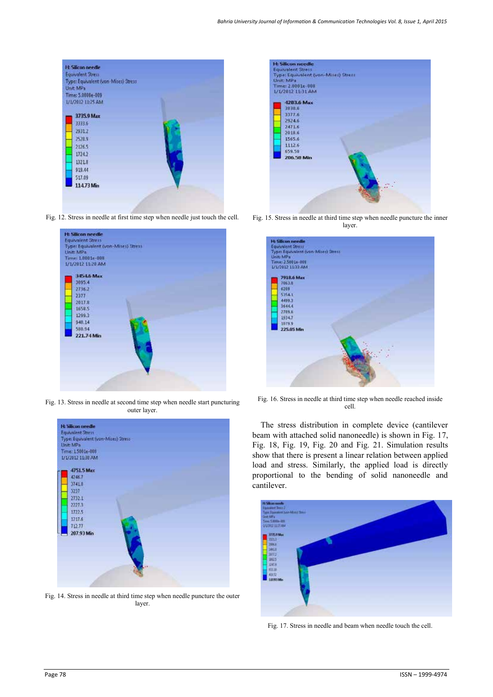

Fig. 12. Stress in needle at first time step when needle just touch the cell.



Fig. 13. Stress in needle at second time step when needle start puncturing outer layer.



Fig. 14. Stress in needle at third time step when needle puncture the outer layer.

| Unit: MPa | Equivalent Stress<br>Type: Equivalent (von-Mirer) Stress |  |  |
|-----------|----------------------------------------------------------|--|--|
|           | Time: 2.0001e-008<br>1/1/2012 11:31 AM                   |  |  |
|           | 4203.6 Max                                               |  |  |
|           | 3830.6                                                   |  |  |
|           | 3377.6                                                   |  |  |
|           | 2924.6                                                   |  |  |
|           | 2471.6                                                   |  |  |
|           | 2018.6                                                   |  |  |
|           | 1565.6                                                   |  |  |
|           | 1112.6                                                   |  |  |
|           | 659.59                                                   |  |  |
|           | 206.58 Min                                               |  |  |
|           |                                                          |  |  |
|           |                                                          |  |  |
|           |                                                          |  |  |
|           |                                                          |  |  |

Fig. 15. Stress in needle at third time step when needle puncture the inner layer.

| <b>Equivalent Stress</b><br>Type: Equivalent (von-Mises) Stress |  |  |
|-----------------------------------------------------------------|--|--|
| Unit: MPa<br>Time: 2.5001A-008                                  |  |  |
| L/1/2012 11:33 AM                                               |  |  |
|                                                                 |  |  |
| 7918.6 Max                                                      |  |  |
| 7063.8                                                          |  |  |
| 6205                                                            |  |  |
| 5354.1                                                          |  |  |
| 4499.3                                                          |  |  |
| 3644.4                                                          |  |  |
| 2789.6                                                          |  |  |
| 1934.7                                                          |  |  |
| 1079.9                                                          |  |  |
| 225.05 Min                                                      |  |  |
|                                                                 |  |  |
|                                                                 |  |  |
|                                                                 |  |  |
|                                                                 |  |  |
|                                                                 |  |  |
|                                                                 |  |  |
|                                                                 |  |  |

Fig. 16. Stress in needle at third time step when needle reached inside cell.

The stress distribution in complete device (cantilever beam with attached solid nanoneedle) is shown in Fig. 17, Fig. 18, Fig. 19, Fig. 20 and Fig. 21. Simulation results show that there is present a linear relation between applied load and stress. Similarly, the applied load is directly proportional to the bending of solid nanoneedle and cantilever.



Fig. 17. Stress in needle and beam when needle touch the cell.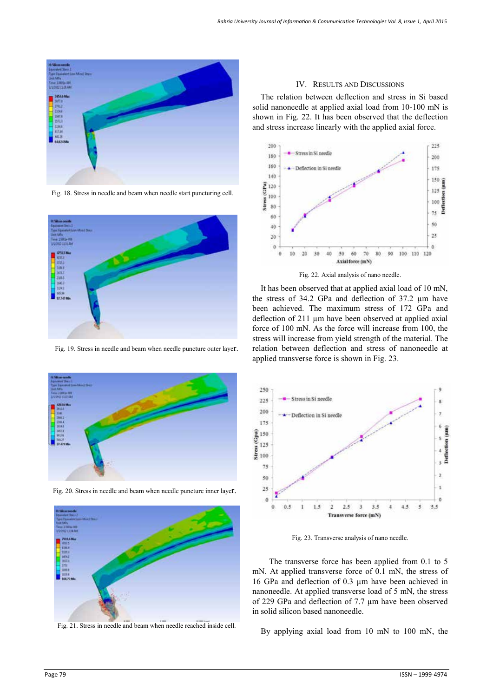

Fig. 18. Stress in needle and beam when needle start puncturing cell.



Fig. 19. Stress in needle and beam when needle puncture outer layer.



Fig. 20. Stress in needle and beam when needle puncture inner layer.



Fig. 21. Stress in needle and beam when needle reached inside cell.

## IV. RESULTS AND DISCUSSIONS

The relation between deflection and stress in Si based solid nanoneedle at applied axial load from 10-100 mN is shown in Fig. 22. It has been observed that the deflection and stress increase linearly with the applied axial force.



Fig. 22. Axial analysis of nano needle.

It has been observed that at applied axial load of 10 mN, the stress of 34.2 GPa and deflection of 37.2 µm have been achieved. The maximum stress of 172 GPa and deflection of 211 µm have been observed at applied axial force of 100 mN. As the force will increase from 100, the stress will increase from yield strength of the material. The relation between deflection and stress of nanoneedle at applied transverse force is shown in Fig. 23.



Fig. 23. Transverse analysis of nano needle.

 The transverse force has been applied from 0.1 to 5 mN. At applied transverse force of 0.1 mN, the stress of 16 GPa and deflection of 0.3 µm have been achieved in nanoneedle. At applied transverse load of 5 mN, the stress of 229 GPa and deflection of 7.7 µm have been observed in solid silicon based nanoneedle.

By applying axial load from 10 mN to 100 mN, the